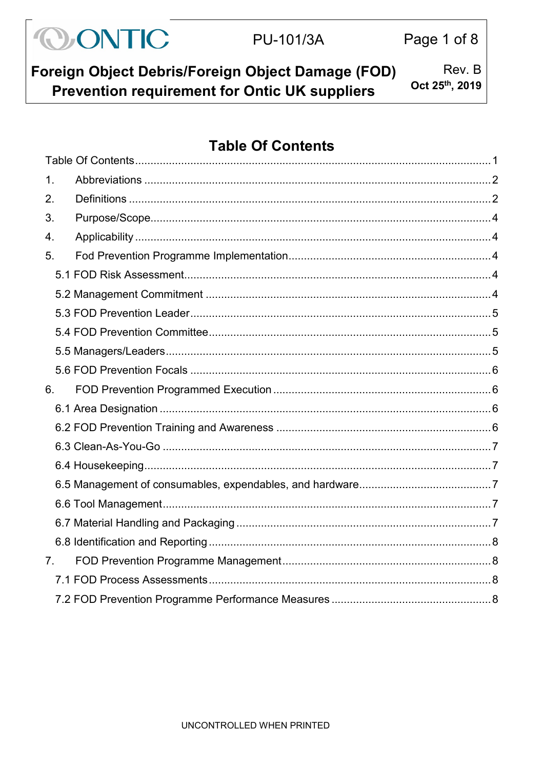| <b>OONTIC</b> | PU-101/3A | Page 1 of 8 |
|---------------|-----------|-------------|
|               |           |             |

Foreign Object Debris/Foreign Object Damage (FOD) Rev. B Oct 25th, 2019 Prevention requirement for Ontic UK suppliers

# <span id="page-0-0"></span>**Table Of Contents**

| $\mathbf 1$ .    |  |
|------------------|--|
| 2.               |  |
| 3.               |  |
| $\overline{4}$ . |  |
| 5.               |  |
|                  |  |
|                  |  |
|                  |  |
|                  |  |
|                  |  |
|                  |  |
| 6.               |  |
|                  |  |
|                  |  |
|                  |  |
|                  |  |
|                  |  |
|                  |  |
|                  |  |
|                  |  |
| 7 <sub>1</sub>   |  |
|                  |  |
|                  |  |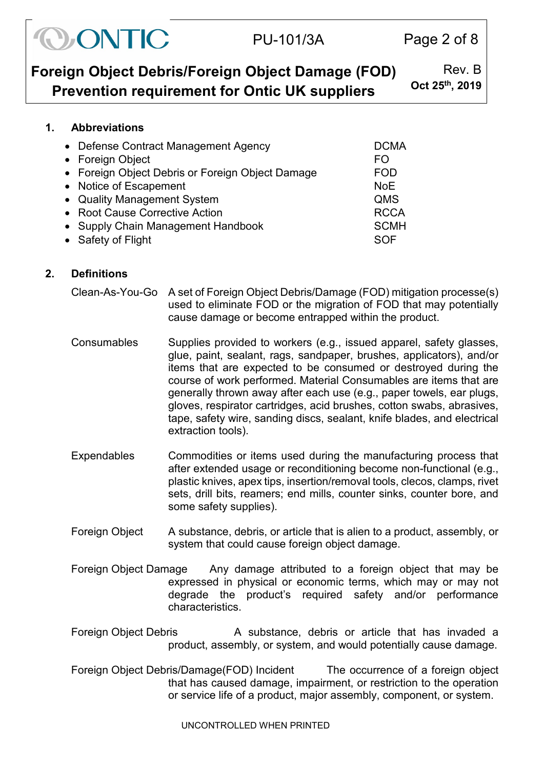| CONTIC | <b>PU-101/3A</b> |
|--------|------------------|
|--------|------------------|

| Foreign Object Debris/Foreign Object Damage (FOD)    | Rev. B         |
|------------------------------------------------------|----------------|
| <b>Prevention requirement for Ontic UK suppliers</b> | Oct 25th, 2019 |

# <span id="page-1-0"></span>**1. Abbreviations**

| • Defense Contract Management Agency<br>• Foreign Object | <b>DCMA</b><br>FO |
|----------------------------------------------------------|-------------------|
| • Foreign Object Debris or Foreign Object Damage         | <b>FOD</b>        |
| • Notice of Escapement                                   | <b>NoE</b>        |
| • Quality Management System                              | QMS               |
| • Root Cause Corrective Action                           | <b>RCCA</b>       |
| • Supply Chain Management Handbook                       | <b>SCMH</b>       |
| • Safety of Flight                                       | SOF               |

# <span id="page-1-1"></span>**2. Definitions**

- Clean-As-You-Go A set of Foreign Object Debris/Damage (FOD) mitigation processe(s) used to eliminate FOD or the migration of FOD that may potentially cause damage or become entrapped within the product.
- Consumables Supplies provided to workers (e.g., issued apparel, safety glasses, glue, paint, sealant, rags, sandpaper, brushes, applicators), and/or items that are expected to be consumed or destroyed during the course of work performed. Material Consumables are items that are generally thrown away after each use (e.g., paper towels, ear plugs, gloves, respirator cartridges, acid brushes, cotton swabs, abrasives, tape, safety wire, sanding discs, sealant, knife blades, and electrical extraction tools).
- Expendables Commodities or items used during the manufacturing process that after extended usage or reconditioning become non-functional (e.g., plastic knives, apex tips, insertion/removal tools, clecos, clamps, rivet sets, drill bits, reamers; end mills, counter sinks, counter bore, and some safety supplies).
- Foreign Object A substance, debris, or article that is alien to a product, assembly, or system that could cause foreign object damage.
- Foreign Object Damage Any damage attributed to a foreign object that may be expressed in physical or economic terms, which may or may not degrade the product's required safety and/or performance characteristics.
- Foreign Object Debris **A** substance, debris or article that has invaded a product, assembly, or system, and would potentially cause damage.
- Foreign Object Debris/Damage(FOD) Incident The occurrence of a foreign object that has caused damage, impairment, or restriction to the operation or service life of a product, major assembly, component, or system.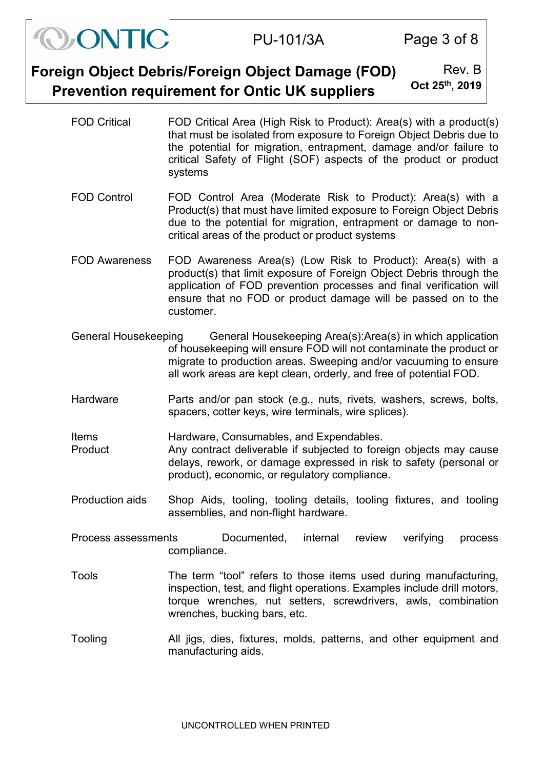| Foreign Object Debris/Foreign Object Damage (FOD)    | Rev. B                      |
|------------------------------------------------------|-----------------------------|
| <b>Prevention requirement for Ontic UK suppliers</b> | Oct 25 <sup>th</sup> , 2019 |

ONTIC

FOD Critical FOD Critical Area (High Risk to Product): Area(s) with a product(s) that must be isolated from exposure to Foreign Object Debris due to the potential for migration, entrapment, damage and/or failure to critical Safety of Flight (SOF) aspects of the product or product systems

PU-101/3A Page 3 of 8

- FOD Control FOD Control Area (Moderate Risk to Product): Area(s) with a Product(s) that must have limited exposure to Foreign Object Debris due to the potential for migration, entrapment or damage to noncritical areas of the product or product systems
- FOD Awareness FOD Awareness Area(s) (Low Risk to Product): Area(s) with a product(s) that limit exposure of Foreign Object Debris through the application of FOD prevention processes and final verification will ensure that no FOD or product damage will be passed on to the customer.
- General Housekeeping General Housekeeping Area(s):Area(s) in which application of housekeeping will ensure FOD will not contaminate the product or migrate to production areas. Sweeping and/or vacuuming to ensure all work areas are kept clean, orderly, and free of potential FOD.
- Hardware **Parts and/or pan stock (e.g., nuts, rivets, washers, screws, bolts,** spacers, cotter keys, wire terminals, wire splices).

Items Hardware, Consumables, and Expendables.

- Product Any contract deliverable if subjected to foreign objects may cause delays, rework, or damage expressed in risk to safety (personal or product), economic, or regulatory compliance.
- Production aids Shop Aids, tooling, tooling details, tooling fixtures, and tooling assemblies, and non-flight hardware.
- Process assessments Documented, internal review verifying process compliance.
- Tools The term "tool" refers to those items used during manufacturing, inspection, test, and flight operations. Examples include drill motors, torque wrenches, nut setters, screwdrivers, awls, combination wrenches, bucking bars, etc.
- Tooling All jigs, dies, fixtures, molds, patterns, and other equipment and manufacturing aids.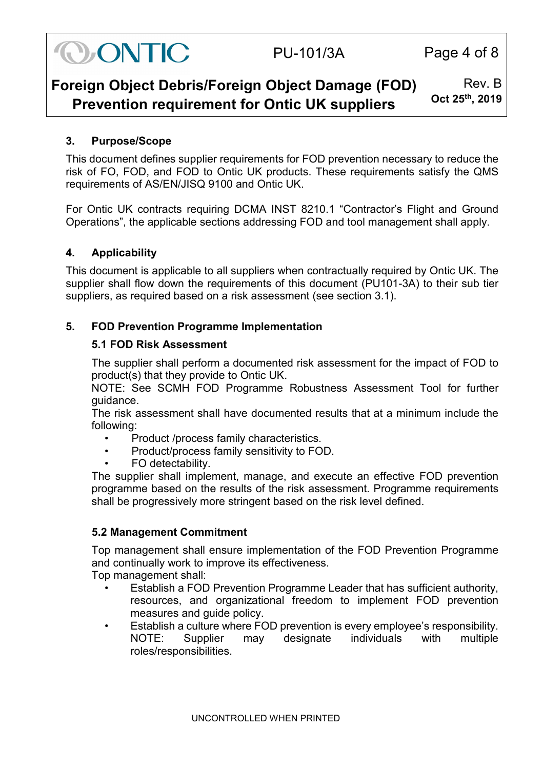

# PU-101/3A Page 4 of 8

#### **Foreign Object Debris/Foreign Object Damage (FOD) Prevention requirement for Ontic UK suppliers** Rev. B **Oct 25th, 2019**

# <span id="page-3-0"></span>**3. Purpose/Scope**

This document defines supplier requirements for FOD prevention necessary to reduce the risk of FO, FOD, and FOD to Ontic UK products. These requirements satisfy the QMS requirements of AS/EN/JISQ 9100 and Ontic UK.

For Ontic UK contracts requiring DCMA INST 8210.1 "Contractor's Flight and Ground Operations", the applicable sections addressing FOD and tool management shall apply.

## <span id="page-3-1"></span>**4. Applicability**

This document is applicable to all suppliers when contractually required by Ontic UK. The supplier shall flow down the requirements of this document (PU101-3A) to their sub tier suppliers, as required based on a risk assessment (see section 3.1).

## <span id="page-3-3"></span><span id="page-3-2"></span>**5. FOD Prevention Programme Implementation**

#### **5.1 FOD Risk Assessment**

The supplier shall perform a documented risk assessment for the impact of FOD to product(s) that they provide to Ontic UK.

NOTE: See SCMH FOD Programme Robustness Assessment Tool for further guidance.

The risk assessment shall have documented results that at a minimum include the following:

- Product /process family characteristics.
- Product/process family sensitivity to FOD.
- FO detectability.

The supplier shall implement, manage, and execute an effective FOD prevention programme based on the results of the risk assessment. Programme requirements shall be progressively more stringent based on the risk level defined.

#### <span id="page-3-4"></span>**5.2 Management Commitment**

Top management shall ensure implementation of the FOD Prevention Programme and continually work to improve its effectiveness.

Top management shall:

- Establish a FOD Prevention Programme Leader that has sufficient authority, resources, and organizational freedom to implement FOD prevention measures and guide policy.
- Establish a culture where FOD prevention is every employee's responsibility. NOTE: Supplier may designate individuals with multiple roles/responsibilities.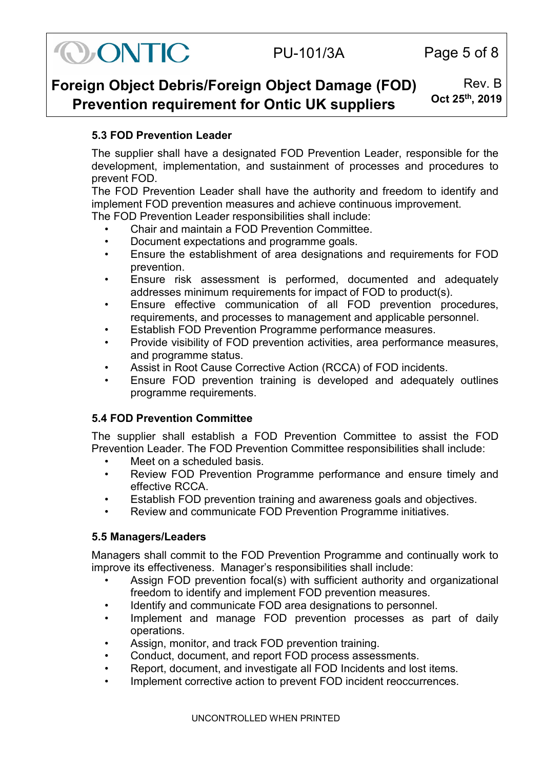

# PU-101/3A Page 5 of 8

#### **Foreign Object Debris/Foreign Object Damage (FOD) Prevention requirement for Ontic UK suppliers** Rev. B **Oct 25th, 2019**

# <span id="page-4-0"></span>**5.3 FOD Prevention Leader**

The supplier shall have a designated FOD Prevention Leader, responsible for the development, implementation, and sustainment of processes and procedures to prevent FOD.

The FOD Prevention Leader shall have the authority and freedom to identify and implement FOD prevention measures and achieve continuous improvement.

The FOD Prevention Leader responsibilities shall include:

- Chair and maintain a FOD Prevention Committee.
- Document expectations and programme goals.
- Ensure the establishment of area designations and requirements for FOD prevention.
- Ensure risk assessment is performed, documented and adequately addresses minimum requirements for impact of FOD to product(s).
- Ensure effective communication of all FOD prevention procedures, requirements, and processes to management and applicable personnel.
- Establish FOD Prevention Programme performance measures.
- Provide visibility of FOD prevention activities, area performance measures, and programme status.
- Assist in Root Cause Corrective Action (RCCA) of FOD incidents.
- Ensure FOD prevention training is developed and adequately outlines programme requirements.

# <span id="page-4-1"></span>**5.4 FOD Prevention Committee**

The supplier shall establish a FOD Prevention Committee to assist the FOD Prevention Leader. The FOD Prevention Committee responsibilities shall include:

- Meet on a scheduled basis.
- Review FOD Prevention Programme performance and ensure timely and effective RCCA.
- Establish FOD prevention training and awareness goals and objectives.
- Review and communicate FOD Prevention Programme initiatives.

## <span id="page-4-2"></span>**5.5 Managers/Leaders**

Managers shall commit to the FOD Prevention Programme and continually work to improve its effectiveness. Manager's responsibilities shall include:

- Assign FOD prevention focal(s) with sufficient authority and organizational freedom to identify and implement FOD prevention measures.
- Identify and communicate FOD area designations to personnel.
- Implement and manage FOD prevention processes as part of daily operations.
- Assign, monitor, and track FOD prevention training.
- Conduct, document, and report FOD process assessments.
- Report, document, and investigate all FOD Incidents and lost items.
- Implement corrective action to prevent FOD incident reoccurrences.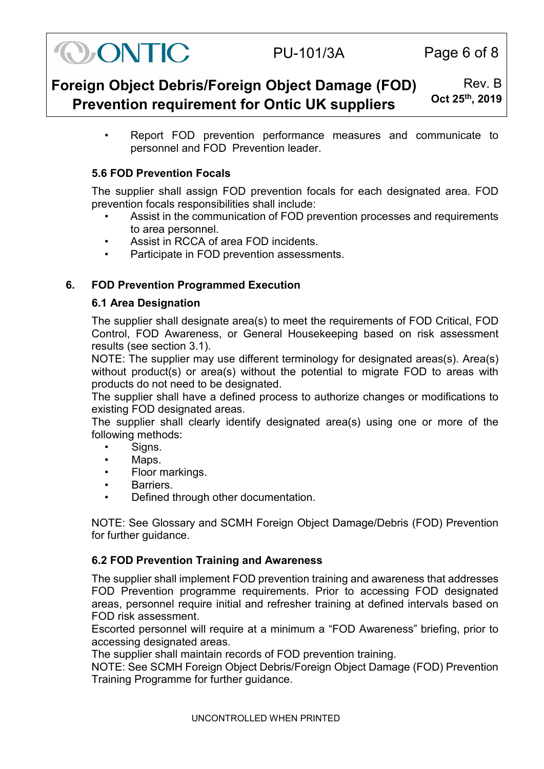

# PU-101/3A Page 6 of 8

#### **Foreign Object Debris/Foreign Object Damage (FOD) Prevention requirement for Ontic UK suppliers** Rev. B **Oct 25th, 2019**

• Report FOD prevention performance measures and communicate to personnel and FOD Prevention leader.

# <span id="page-5-0"></span>**5.6 FOD Prevention Focals**

The supplier shall assign FOD prevention focals for each designated area. FOD prevention focals responsibilities shall include:

- Assist in the communication of FOD prevention processes and requirements to area personnel.
- Assist in RCCA of area FOD incidents.
- Participate in FOD prevention assessments.

# <span id="page-5-2"></span><span id="page-5-1"></span>**6. FOD Prevention Programmed Execution**

## **6.1 Area Designation**

The supplier shall designate area(s) to meet the requirements of FOD Critical, FOD Control, FOD Awareness, or General Housekeeping based on risk assessment results (see section 3.1).

NOTE: The supplier may use different terminology for designated areas(s). Area(s) without product(s) or area(s) without the potential to migrate FOD to areas with products do not need to be designated.

The supplier shall have a defined process to authorize changes or modifications to existing FOD designated areas.

The supplier shall clearly identify designated area(s) using one or more of the following methods:

- Signs.
- Maps.
- Floor markings.
- Barriers.
- Defined through other documentation.

NOTE: See Glossary and SCMH Foreign Object Damage/Debris (FOD) Prevention for further guidance.

## <span id="page-5-3"></span>**6.2 FOD Prevention Training and Awareness**

The supplier shall implement FOD prevention training and awareness that addresses FOD Prevention programme requirements. Prior to accessing FOD designated areas, personnel require initial and refresher training at defined intervals based on FOD risk assessment.

Escorted personnel will require at a minimum a "FOD Awareness" briefing, prior to accessing designated areas.

The supplier shall maintain records of FOD prevention training.

NOTE: See SCMH Foreign Object Debris/Foreign Object Damage (FOD) Prevention Training Programme for further guidance.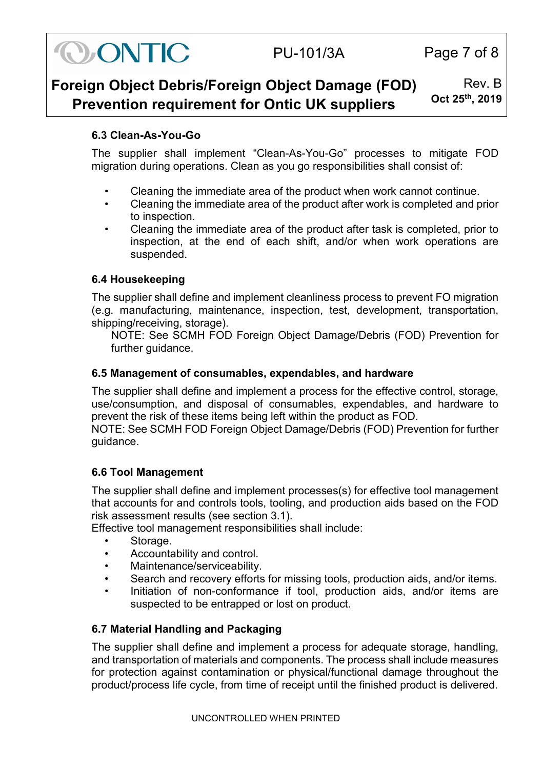

# PU-101/3A Page 7 of 8

#### **Foreign Object Debris/Foreign Object Damage (FOD) Prevention requirement for Ontic UK suppliers** Rev. B **Oct 25th, 2019**

## <span id="page-6-0"></span>**6.3 Clean-As-You-Go**

The supplier shall implement "Clean-As-You-Go" processes to mitigate FOD migration during operations. Clean as you go responsibilities shall consist of:

- Cleaning the immediate area of the product when work cannot continue.
- Cleaning the immediate area of the product after work is completed and prior to inspection.
- Cleaning the immediate area of the product after task is completed, prior to inspection, at the end of each shift, and/or when work operations are suspended.

## <span id="page-6-1"></span>**6.4 Housekeeping**

The supplier shall define and implement cleanliness process to prevent FO migration (e.g. manufacturing, maintenance, inspection, test, development, transportation, shipping/receiving, storage).

NOTE: See SCMH FOD Foreign Object Damage/Debris (FOD) Prevention for further guidance.

## <span id="page-6-2"></span>**6.5 Management of consumables, expendables, and hardware**

The supplier shall define and implement a process for the effective control, storage, use/consumption, and disposal of consumables, expendables, and hardware to prevent the risk of these items being left within the product as FOD.

NOTE: See SCMH FOD Foreign Object Damage/Debris (FOD) Prevention for further guidance.

## <span id="page-6-3"></span>**6.6 Tool Management**

The supplier shall define and implement processes(s) for effective tool management that accounts for and controls tools, tooling, and production aids based on the FOD risk assessment results (see section 3.1).

Effective tool management responsibilities shall include:

- Storage.
- Accountability and control.
- Maintenance/serviceability.
- Search and recovery efforts for missing tools, production aids, and/or items.
- Initiation of non-conformance if tool, production aids, and/or items are suspected to be entrapped or lost on product.

## <span id="page-6-4"></span>**6.7 Material Handling and Packaging**

The supplier shall define and implement a process for adequate storage, handling, and transportation of materials and components. The process shall include measures for protection against contamination or physical/functional damage throughout the product/process life cycle, from time of receipt until the finished product is delivered.